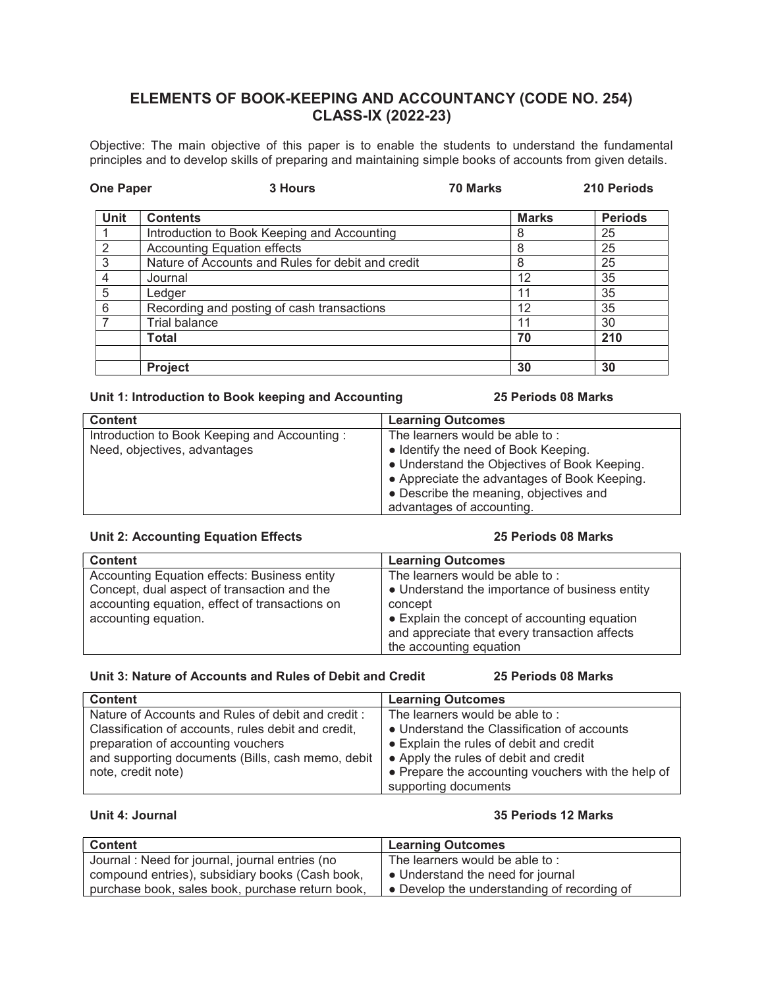# ELEMENTS OF BOOK-KEEPING AND ACCOUNTANCY (CODE NO. 254) CLASS-IX (2022-23)

Objective: The main objective of this paper is to enable the students to understand the fundamental principles and to develop skills of preparing and maintaining simple books of accounts from given details.

| <b>One Paper</b> | 3 Hours                                           | 70 Marks |              | 210 Periods    |
|------------------|---------------------------------------------------|----------|--------------|----------------|
| <b>Unit</b>      | <b>Contents</b>                                   |          | <b>Marks</b> | <b>Periods</b> |
|                  | Introduction to Book Keeping and Accounting       |          | 8            | 25             |
| 2                | <b>Accounting Equation effects</b>                |          | 8            | 25             |
| 3                | Nature of Accounts and Rules for debit and credit |          | 8            | 25             |
| 4                | Journal                                           |          | 12           | 35             |
| 5                | Ledger                                            |          | 11           | 35             |
| 6                | Recording and posting of cash transactions        |          | 12           | 35             |
|                  | <b>Trial balance</b>                              |          | 11           | 30             |
|                  | <b>Total</b>                                      |          | 70           | 210            |
|                  | <b>Project</b>                                    |          | 30           | 30             |

## Unit 1: Introduction to Book keeping and Accounting 25 Periods 08 Marks

| <b>Content</b>                               | <b>Learning Outcomes</b>                     |
|----------------------------------------------|----------------------------------------------|
| Introduction to Book Keeping and Accounting: | The learners would be able to:               |
| Need, objectives, advantages                 | • Identify the need of Book Keeping.         |
|                                              | • Understand the Objectives of Book Keeping. |
|                                              | • Appreciate the advantages of Book Keeping. |
|                                              | • Describe the meaning, objectives and       |
|                                              | advantages of accounting.                    |

# Unit 2: Accounting Equation Effects 25 Periods 08 Marks

| <b>Content</b>                                 | <b>Learning Outcomes</b>                       |
|------------------------------------------------|------------------------------------------------|
| Accounting Equation effects: Business entity   | The learners would be able to:                 |
| Concept, dual aspect of transaction and the    | • Understand the importance of business entity |
| accounting equation, effect of transactions on | concept                                        |
| accounting equation.                           | • Explain the concept of accounting equation   |
|                                                | and appreciate that every transaction affects  |
|                                                | the accounting equation                        |

# Unit 3: Nature of Accounts and Rules of Debit and Credit 25 Periods 08 Marks

| <b>Content</b>                                      | <b>Learning Outcomes</b>                           |
|-----------------------------------------------------|----------------------------------------------------|
| Nature of Accounts and Rules of debit and credit:   | The learners would be able to:                     |
| Classification of accounts, rules debit and credit, | • Understand the Classification of accounts        |
| preparation of accounting vouchers                  | • Explain the rules of debit and credit            |
| and supporting documents (Bills, cash memo, debit   | • Apply the rules of debit and credit              |
| note, credit note)                                  | • Prepare the accounting vouchers with the help of |
|                                                     | supporting documents                               |

# Unit 4: Journal 35 Periods 12 Marks

| <b>Content</b>                                   | Learning Outcomes                                   |
|--------------------------------------------------|-----------------------------------------------------|
| Journal : Need for journal, journal entries (no  | The learners would be able to:                      |
| compound entries), subsidiary books (Cash book,  | • Understand the need for journal                   |
| purchase book, sales book, purchase return book, | $\bullet$ Develop the understanding of recording of |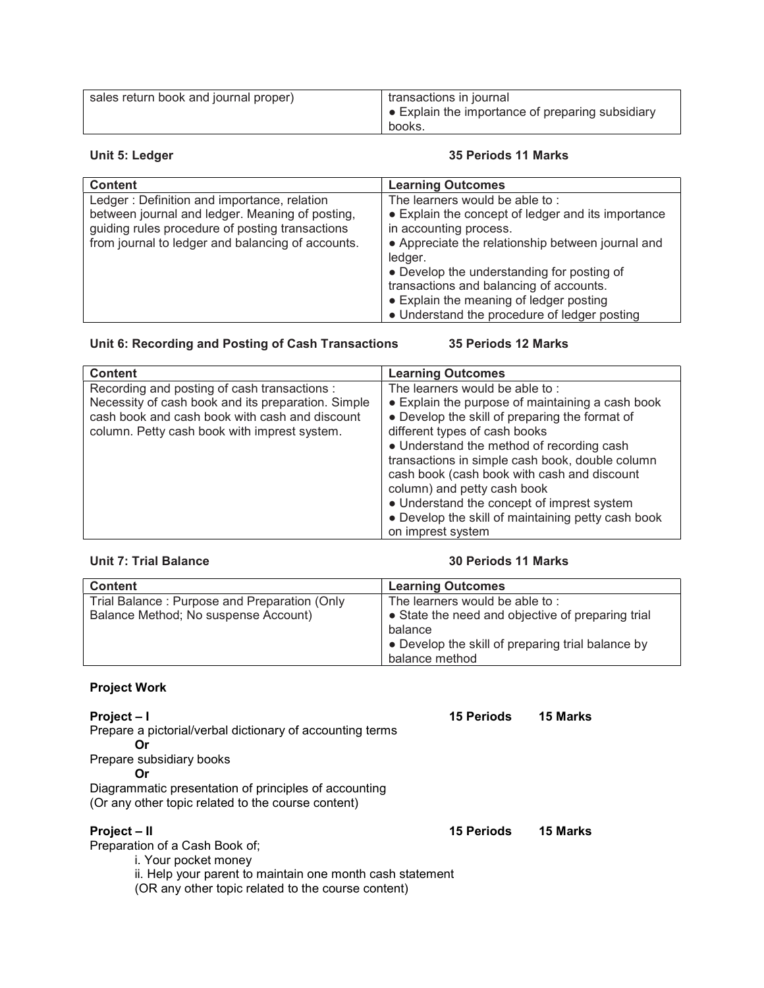| sales return book and journal proper) | transactions in journal<br>Ⅰ ● Explain the importance of preparing subsidiary<br>books. |
|---------------------------------------|-----------------------------------------------------------------------------------------|
|---------------------------------------|-----------------------------------------------------------------------------------------|

### Unit 5: Ledger 2012 12: 2013 12: 2014 13: 2014 13: 2015 13: 2016 13: 2017 13: 2018 13: 2019 13: 2019 13: 2019 1

| <b>Content</b>                                    | <b>Learning Outcomes</b>                           |
|---------------------------------------------------|----------------------------------------------------|
| Ledger: Definition and importance, relation       | The learners would be able to:                     |
| between journal and ledger. Meaning of posting,   | • Explain the concept of ledger and its importance |
| guiding rules procedure of posting transactions   | in accounting process.                             |
| from journal to ledger and balancing of accounts. | • Appreciate the relationship between journal and  |
|                                                   | ledger.                                            |
|                                                   | • Develop the understanding for posting of         |
|                                                   | transactions and balancing of accounts.            |
|                                                   | • Explain the meaning of ledger posting            |
|                                                   | • Understand the procedure of ledger posting       |

# Unit 6: Recording and Posting of Cash Transactions 35 Periods 12 Marks

| <b>Content</b>                                                                                                                                                                                       | <b>Learning Outcomes</b>                                                                                                                                                                                                                                                                            |
|------------------------------------------------------------------------------------------------------------------------------------------------------------------------------------------------------|-----------------------------------------------------------------------------------------------------------------------------------------------------------------------------------------------------------------------------------------------------------------------------------------------------|
| Recording and posting of cash transactions :<br>Necessity of cash book and its preparation. Simple<br>cash book and cash book with cash and discount<br>column. Petty cash book with imprest system. | The learners would be able to:<br>• Explain the purpose of maintaining a cash book<br>• Develop the skill of preparing the format of<br>different types of cash books                                                                                                                               |
|                                                                                                                                                                                                      | • Understand the method of recording cash<br>transactions in simple cash book, double column<br>cash book (cash book with cash and discount<br>column) and petty cash book<br>• Understand the concept of imprest system<br>• Develop the skill of maintaining petty cash book<br>on imprest system |

### Unit 7: Trial Balance 30 Periods 11 Marks

| <b>Content</b>                               | <b>Learning Outcomes</b>                          |
|----------------------------------------------|---------------------------------------------------|
| Trial Balance: Purpose and Preparation (Only | The learners would be able to:                    |
| Balance Method; No suspense Account)         | • State the need and objective of preparing trial |
|                                              | balance                                           |
|                                              | • Develop the skill of preparing trial balance by |
|                                              | balance method                                    |

# Project Work

Project – I 15 Periods 15 Marks Prepare a pictorial/verbal dictionary of accounting terms Or Prepare subsidiary books Or Diagrammatic presentation of principles of accounting (Or any other topic related to the course content) Project – II 15 Periods 15 Marks

Preparation of a Cash Book of;

i. Your pocket money

ii. Help your parent to maintain one month cash statement

(OR any other topic related to the course content)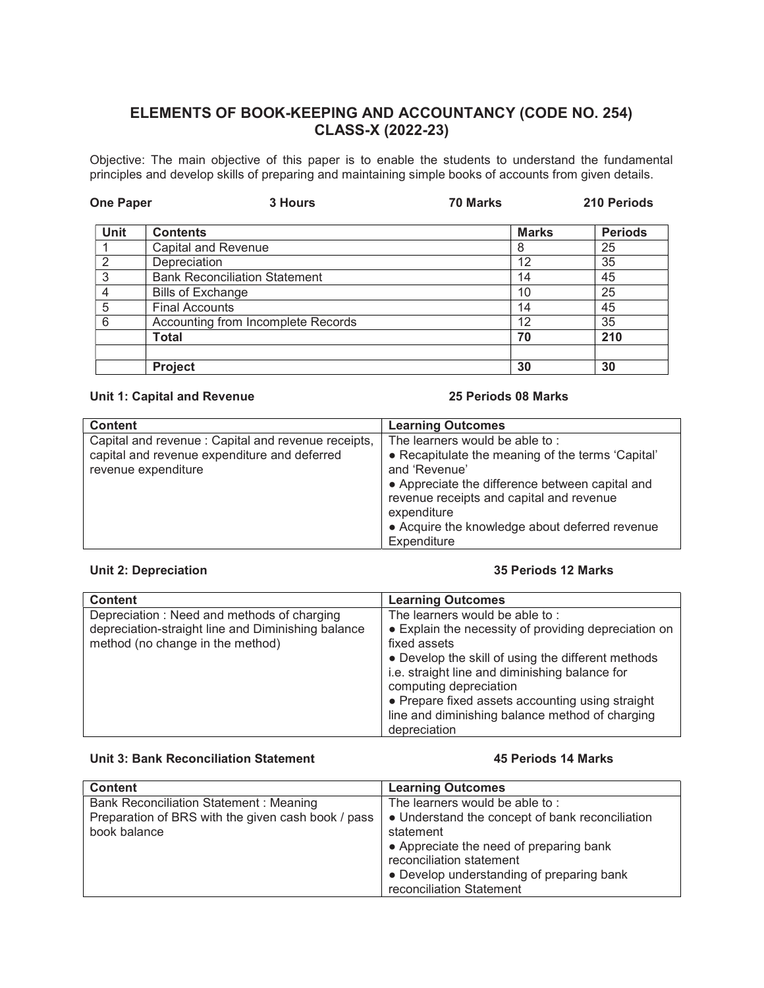# ELEMENTS OF BOOK-KEEPING AND ACCOUNTANCY (CODE NO. 254) CLASS-X (2022-23)

Objective: The main objective of this paper is to enable the students to understand the fundamental principles and develop skills of preparing and maintaining simple books of accounts from given details.

| <b>One Paper</b> | <b>3 Hours</b>                       | <b>70 Marks</b> | 210 Periods    |
|------------------|--------------------------------------|-----------------|----------------|
| Unit             | <b>Contents</b>                      | <b>Marks</b>    | <b>Periods</b> |
|                  | <b>Capital and Revenue</b>           | 8               | 25             |
| $\mathcal{P}$    | Depreciation                         | 12              | 35             |
| 3                | <b>Bank Reconciliation Statement</b> | 14              | 45             |
| 4                | <b>Bills of Exchange</b>             | 10              | 25             |
| 5                | <b>Final Accounts</b>                | 14              | 45             |
| 6                | Accounting from Incomplete Records   | 12              | 35             |
|                  | Total                                | 70              | 210            |
|                  |                                      |                 |                |
|                  | Project                              | 30              | 30             |

### Unit 1: Capital and Revenue 25 Periods 08 Marks

| <b>Content</b>                                      | <b>Learning Outcomes</b>                          |
|-----------------------------------------------------|---------------------------------------------------|
| Capital and revenue : Capital and revenue receipts, | The learners would be able to:                    |
| capital and revenue expenditure and deferred        | • Recapitulate the meaning of the terms 'Capital' |
| revenue expenditure                                 | and 'Revenue'                                     |
|                                                     | • Appreciate the difference between capital and   |
|                                                     | revenue receipts and capital and revenue          |
|                                                     | expenditure                                       |
|                                                     | • Acquire the knowledge about deferred revenue    |
|                                                     | Expenditure                                       |

# Unit 2: Depreciation 35 Periods 12 Marks

| <b>Content</b>                                                                                                                       | <b>Learning Outcomes</b>                                                                                                                                                                                                                                                                                                                        |
|--------------------------------------------------------------------------------------------------------------------------------------|-------------------------------------------------------------------------------------------------------------------------------------------------------------------------------------------------------------------------------------------------------------------------------------------------------------------------------------------------|
| Depreciation: Need and methods of charging<br>depreciation-straight line and Diminishing balance<br>method (no change in the method) | The learners would be able to:<br>• Explain the necessity of providing depreciation on<br>fixed assets<br>• Develop the skill of using the different methods<br>i.e. straight line and diminishing balance for<br>computing depreciation<br>• Prepare fixed assets accounting using straight<br>line and diminishing balance method of charging |
|                                                                                                                                      | depreciation                                                                                                                                                                                                                                                                                                                                    |

## Unit 3: Bank Reconciliation Statement **45 Periods 14 Marks**

| <b>Content</b>                                     | <b>Learning Outcomes</b>                        |
|----------------------------------------------------|-------------------------------------------------|
| <b>Bank Reconciliation Statement: Meaning</b>      | The learners would be able to:                  |
| Preparation of BRS with the given cash book / pass | • Understand the concept of bank reconciliation |
| book balance                                       | statement                                       |
|                                                    | • Appreciate the need of preparing bank         |
|                                                    | reconciliation statement                        |
|                                                    | • Develop understanding of preparing bank       |
|                                                    | reconciliation Statement                        |